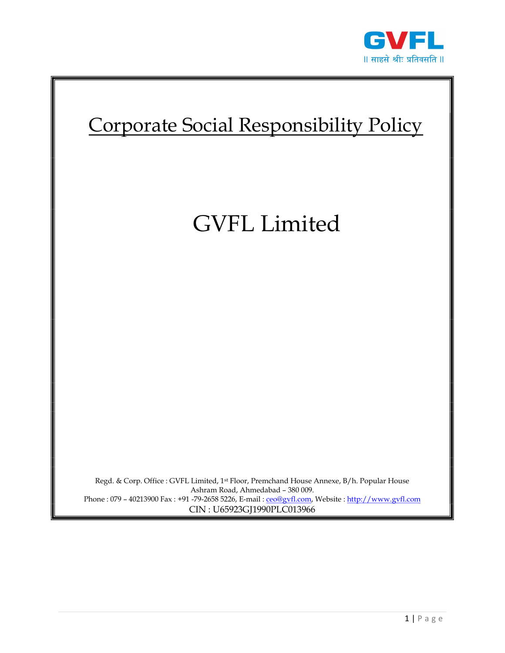



# GVFL Limited

Regd. & Corp. Office : GVFL Limited, 1st Floor, Premchand House Annexe, B/h. Popular House Ashram Road, Ahmedabad – 380 009. Phone : 079 - 40213900 Fax : +91 -79-2658 5226, E-mail : ceo@gvfl.com, Website : http://www.gvfl.com CIN : U65923GJ1990PLC013966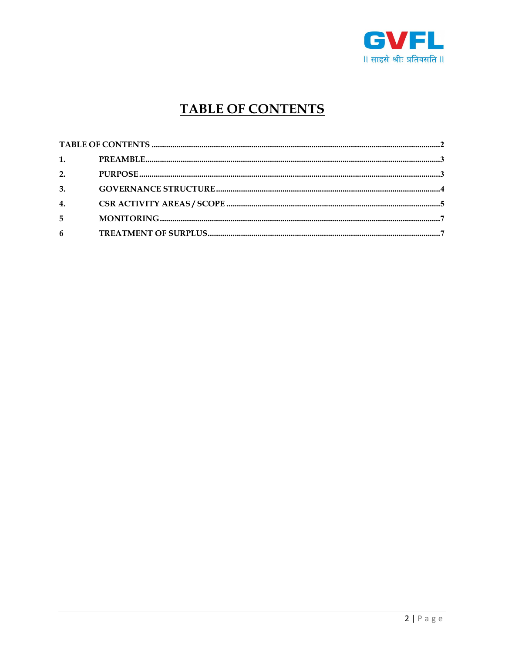

## **TABLE OF CONTENTS**

| 1. $\blacksquare$ |  |
|-------------------|--|
| 2.                |  |
| 3.                |  |
| 4.                |  |
| 5                 |  |
| 6                 |  |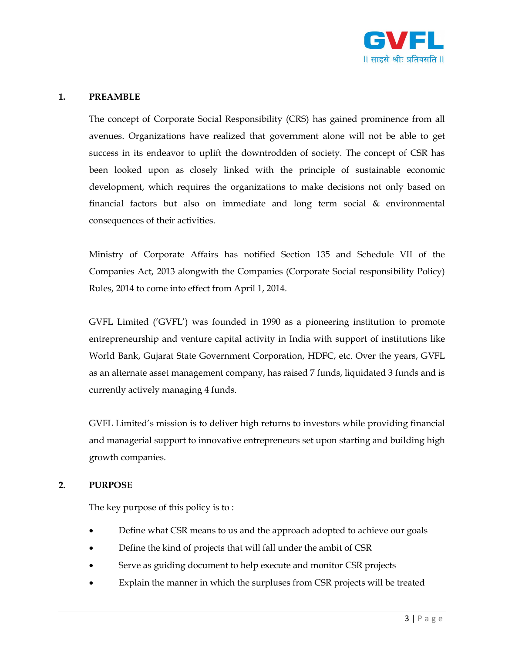

#### 1. PREAMBLE

The concept of Corporate Social Responsibility (CRS) has gained prominence from all avenues. Organizations have realized that government alone will not be able to get success in its endeavor to uplift the downtrodden of society. The concept of CSR has been looked upon as closely linked with the principle of sustainable economic development, which requires the organizations to make decisions not only based on financial factors but also on immediate and long term social & environmental consequences of their activities.

Ministry of Corporate Affairs has notified Section 135 and Schedule VII of the Companies Act, 2013 alongwith the Companies (Corporate Social responsibility Policy) Rules, 2014 to come into effect from April 1, 2014.

GVFL Limited ('GVFL') was founded in 1990 as a pioneering institution to promote entrepreneurship and venture capital activity in India with support of institutions like World Bank, Gujarat State Government Corporation, HDFC, etc. Over the years, GVFL as an alternate asset management company, has raised 7 funds, liquidated 3 funds and is currently actively managing 4 funds.

GVFL Limited's mission is to deliver high returns to investors while providing financial and managerial support to innovative entrepreneurs set upon starting and building high growth companies.

#### 2. PURPOSE

The key purpose of this policy is to :

- Define what CSR means to us and the approach adopted to achieve our goals
- Define the kind of projects that will fall under the ambit of CSR
- Serve as guiding document to help execute and monitor CSR projects
- Explain the manner in which the surpluses from CSR projects will be treated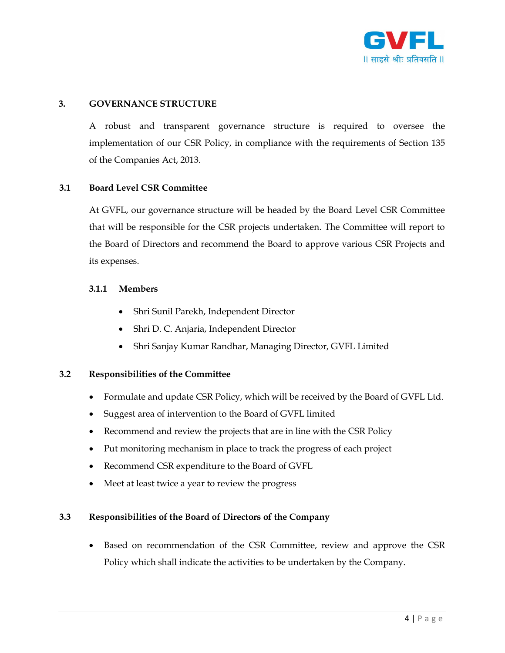

#### 3. GOVERNANCE STRUCTURE

A robust and transparent governance structure is required to oversee the implementation of our CSR Policy, in compliance with the requirements of Section 135 of the Companies Act, 2013.

#### 3.1 Board Level CSR Committee

At GVFL, our governance structure will be headed by the Board Level CSR Committee that will be responsible for the CSR projects undertaken. The Committee will report to the Board of Directors and recommend the Board to approve various CSR Projects and its expenses.

#### 3.1.1 Members

- Shri Sunil Parekh, Independent Director
- Shri D. C. Anjaria, Independent Director
- Shri Sanjay Kumar Randhar, Managing Director, GVFL Limited

#### 3.2 Responsibilities of the Committee

- Formulate and update CSR Policy, which will be received by the Board of GVFL Ltd.
- Suggest area of intervention to the Board of GVFL limited
- Recommend and review the projects that are in line with the CSR Policy
- Put monitoring mechanism in place to track the progress of each project
- Recommend CSR expenditure to the Board of GVFL
- Meet at least twice a year to review the progress

#### 3.3 Responsibilities of the Board of Directors of the Company

 Based on recommendation of the CSR Committee, review and approve the CSR Policy which shall indicate the activities to be undertaken by the Company.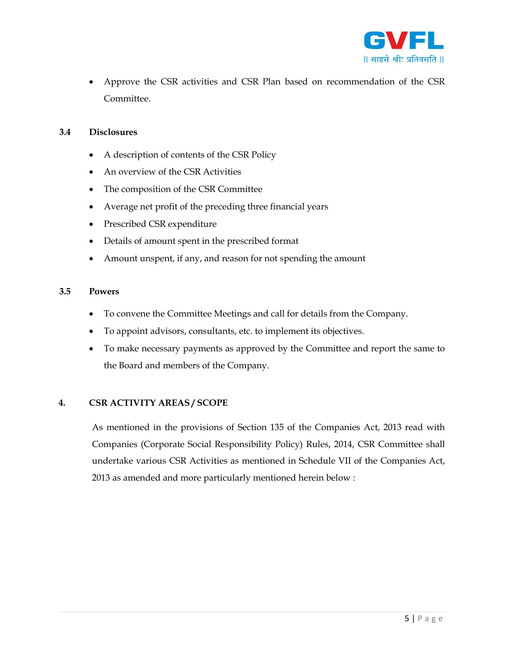

 Approve the CSR activities and CSR Plan based on recommendation of the CSR Committee.

#### 3.4 Disclosures

- A description of contents of the CSR Policy
- An overview of the CSR Activities
- The composition of the CSR Committee
- Average net profit of the preceding three financial years
- Prescribed CSR expenditure
- Details of amount spent in the prescribed format
- Amount unspent, if any, and reason for not spending the amount

#### 3.5 Powers

- To convene the Committee Meetings and call for details from the Company.
- To appoint advisors, consultants, etc. to implement its objectives.
- To make necessary payments as approved by the Committee and report the same to the Board and members of the Company.

#### 4. CSR ACTIVITY AREAS / SCOPE

As mentioned in the provisions of Section 135 of the Companies Act, 2013 read with Companies (Corporate Social Responsibility Policy) Rules, 2014, CSR Committee shall undertake various CSR Activities as mentioned in Schedule VII of the Companies Act, 2013 as amended and more particularly mentioned herein below :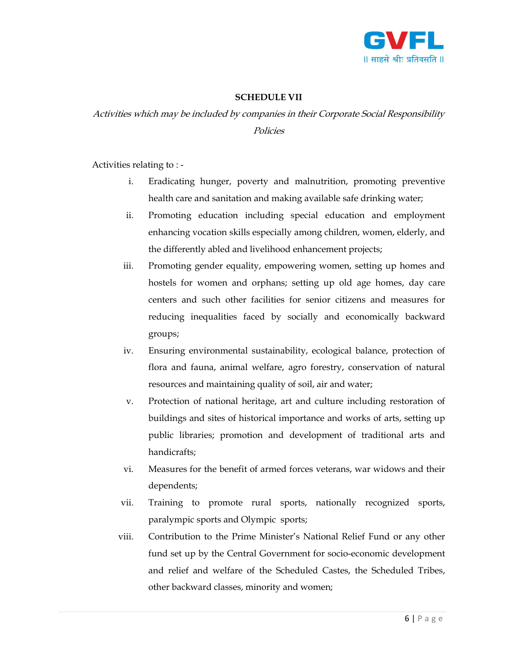

#### SCHEDULE VII

### Activities which may be included by companies in their Corporate Social Responsibility Policies

Activities relating to : -

- i. Eradicating hunger, poverty and malnutrition, promoting preventive health care and sanitation and making available safe drinking water;
- ii. Promoting education including special education and employment enhancing vocation skills especially among children, women, elderly, and the differently abled and livelihood enhancement projects;
- iii. Promoting gender equality, empowering women, setting up homes and hostels for women and orphans; setting up old age homes, day care centers and such other facilities for senior citizens and measures for reducing inequalities faced by socially and economically backward groups;
- iv. Ensuring environmental sustainability, ecological balance, protection of flora and fauna, animal welfare, agro forestry, conservation of natural resources and maintaining quality of soil, air and water;
- v. Protection of national heritage, art and culture including restoration of buildings and sites of historical importance and works of arts, setting up public libraries; promotion and development of traditional arts and handicrafts;
- vi. Measures for the benefit of armed forces veterans, war widows and their dependents;
- vii. Training to promote rural sports, nationally recognized sports, paralympic sports and Olympic sports;
- viii. Contribution to the Prime Minister's National Relief Fund or any other fund set up by the Central Government for socio-economic development and relief and welfare of the Scheduled Castes, the Scheduled Tribes, other backward classes, minority and women;